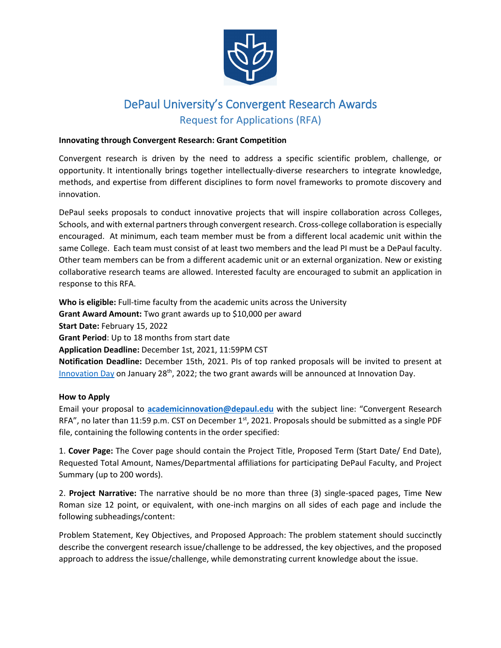

## DePaul University's Convergent Research Awards Request for Applications (RFA)

## **Innovating through Convergent Research: Grant Competition**

Convergent research is driven by the need to address a specific scientific problem, challenge, or opportunity. It intentionally brings together intellectually-diverse researchers to integrate knowledge, methods, and expertise from different disciplines to form novel frameworks to promote discovery and innovation.

DePaul seeks proposals to conduct innovative projects that will inspire collaboration across Colleges, Schools, and with external partners through convergent research. Cross-college collaboration is especially encouraged. At minimum, each team member must be from a different local academic unit within the same College. Each team must consist of at least two members and the lead PI must be a DePaul faculty. Other team members can be from a different academic unit or an external organization. New or existing collaborative research teams are allowed. Interested faculty are encouraged to submit an application in response to this RFA.

**Who is eligible:** Full-time faculty from the academic units across the University **Grant Award Amount:** Two grant awards up to \$10,000 per award **Start Date:** February 15, 2022 **Grant Period**: Up to 18 months from start date **Application Deadline:** December 1st, 2021, 11:59PM CST **Notification Deadline:** December 15th, 2021. PIs of top ranked proposals will be invited to present a[t](https://offices.depaul.edu/research-services/internal-grants/Pages/DePaul-Innovation-Day.aspx)  [Innovation Day](https://offices.depaul.edu/research-services/internal-grants/Pages/DePaul-Innovation-Day.aspx) on January 28<sup>th</sup>, 2022; the two grant awards will be announced at Innovation Day.

## **How to Apply**

Email your proposal to **[academicinnovation@depaul.edu](mailto:academicinnovation@depaul.edu)** with the subject line: "Convergent Research RFA", no later than 11:59 p.m. CST on December  $1<sup>st</sup>$ , 2021. Proposals should be submitted as a single PDF file, containing the following contents in the order specified:

1. **Cover Page:** The Cover page should contain the Project Title, Proposed Term (Start Date/ End Date), Requested Total Amount, Names/Departmental affiliations for participating DePaul Faculty, and Project Summary (up to 200 words).

2. **Project Narrative:** The narrative should be no more than three (3) single-spaced pages, Time New Roman size 12 point, or equivalent, with one-inch margins on all sides of each page and include the following subheadings/content:

Problem Statement, Key Objectives, and Proposed Approach: The problem statement should succinctly describe the convergent research issue/challenge to be addressed, the key objectives, and the proposed approach to address the issue/challenge, while demonstrating current knowledge about the issue.